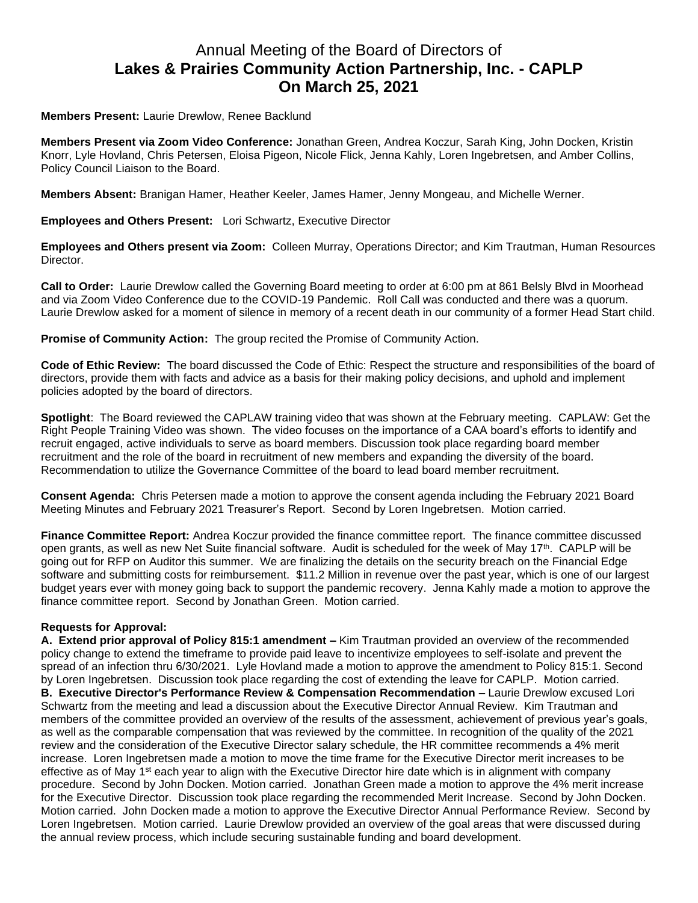## Annual Meeting of the Board of Directors of **Lakes & Prairies Community Action Partnership, Inc. - CAPLP On March 25, 2021**

## **Members Present:** Laurie Drewlow, Renee Backlund

**Members Present via Zoom Video Conference:** Jonathan Green, Andrea Koczur, Sarah King, John Docken, Kristin Knorr, Lyle Hovland, Chris Petersen, Eloisa Pigeon, Nicole Flick, Jenna Kahly, Loren Ingebretsen, and Amber Collins, Policy Council Liaison to the Board.

**Members Absent:** Branigan Hamer, Heather Keeler, James Hamer, Jenny Mongeau, and Michelle Werner.

**Employees and Others Present:** Lori Schwartz, Executive Director

**Employees and Others present via Zoom:** Colleen Murray, Operations Director; and Kim Trautman, Human Resources Director.

**Call to Order:** Laurie Drewlow called the Governing Board meeting to order at 6:00 pm at 861 Belsly Blvd in Moorhead and via Zoom Video Conference due to the COVID-19 Pandemic. Roll Call was conducted and there was a quorum. Laurie Drewlow asked for a moment of silence in memory of a recent death in our community of a former Head Start child.

**Promise of Community Action:** The group recited the Promise of Community Action.

**Code of Ethic Review:** The board discussed the Code of Ethic: Respect the structure and responsibilities of the board of directors, provide them with facts and advice as a basis for their making policy decisions, and uphold and implement policies adopted by the board of directors.

**Spotlight**: The Board reviewed the CAPLAW training video that was shown at the February meeting. CAPLAW: Get the Right People Training Video was shown. The video focuses on the importance of a CAA board's efforts to identify and recruit engaged, active individuals to serve as board members. Discussion took place regarding board member recruitment and the role of the board in recruitment of new members and expanding the diversity of the board. Recommendation to utilize the Governance Committee of the board to lead board member recruitment.

**Consent Agenda:** Chris Petersen made a motion to approve the consent agenda including the February 2021 Board Meeting Minutes and February 2021 Treasurer's Report. Second by Loren Ingebretsen. Motion carried.

**Finance Committee Report:** Andrea Koczur provided the finance committee report. The finance committee discussed open grants, as well as new Net Suite financial software. Audit is scheduled for the week of May 17<sup>th</sup>. CAPLP will be going out for RFP on Auditor this summer. We are finalizing the details on the security breach on the Financial Edge software and submitting costs for reimbursement. \$11.2 Million in revenue over the past year, which is one of our largest budget years ever with money going back to support the pandemic recovery. Jenna Kahly made a motion to approve the finance committee report. Second by Jonathan Green. Motion carried.

## **Requests for Approval:**

**A. Extend prior approval of Policy 815:1 amendment –** Kim Trautman provided an overview of the recommended policy change to extend the timeframe to provide paid leave to incentivize employees to self-isolate and prevent the spread of an infection thru 6/30/2021. Lyle Hovland made a motion to approve the amendment to Policy 815:1. Second by Loren Ingebretsen. Discussion took place regarding the cost of extending the leave for CAPLP. Motion carried. **B. Executive Director's Performance Review & Compensation Recommendation –** Laurie Drewlow excused Lori Schwartz from the meeting and lead a discussion about the Executive Director Annual Review. Kim Trautman and members of the committee provided an overview of the results of the assessment, achievement of previous year's goals, as well as the comparable compensation that was reviewed by the committee. In recognition of the quality of the 2021 review and the consideration of the Executive Director salary schedule, the HR committee recommends a 4% merit increase. Loren Ingebretsen made a motion to move the time frame for the Executive Director merit increases to be effective as of May 1<sup>st</sup> each year to align with the Executive Director hire date which is in alignment with company procedure. Second by John Docken. Motion carried. Jonathan Green made a motion to approve the 4% merit increase for the Executive Director. Discussion took place regarding the recommended Merit Increase. Second by John Docken. Motion carried. John Docken made a motion to approve the Executive Director Annual Performance Review. Second by Loren Ingebretsen. Motion carried. Laurie Drewlow provided an overview of the goal areas that were discussed during the annual review process, which include securing sustainable funding and board development.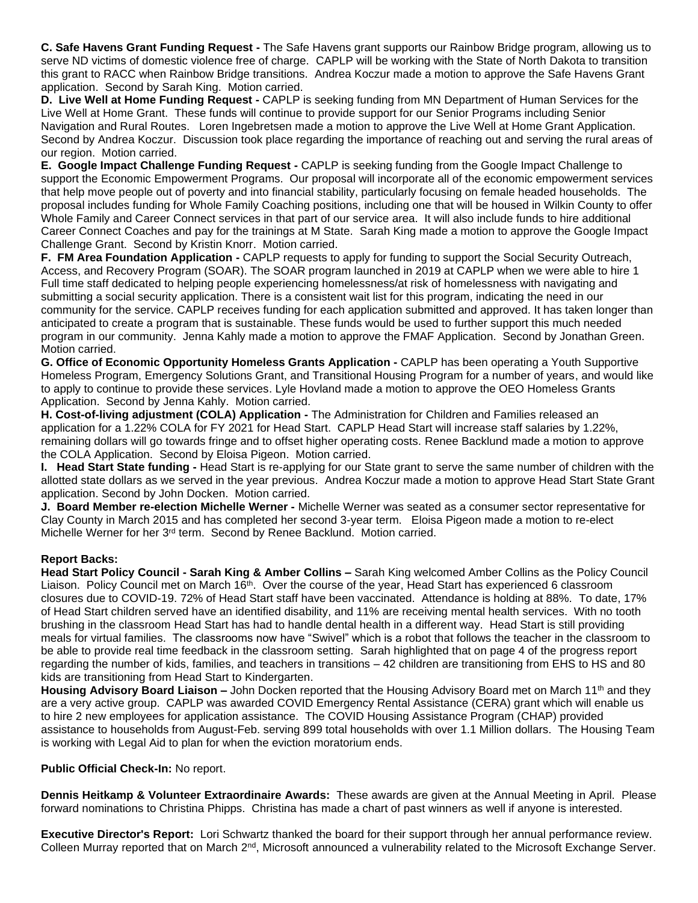**C. Safe Havens Grant Funding Request -** The Safe Havens grant supports our Rainbow Bridge program, allowing us to serve ND victims of domestic violence free of charge. CAPLP will be working with the State of North Dakota to transition this grant to RACC when Rainbow Bridge transitions. Andrea Koczur made a motion to approve the Safe Havens Grant application. Second by Sarah King. Motion carried.

**D. Live Well at Home Funding Request -** CAPLP is seeking funding from MN Department of Human Services for the Live Well at Home Grant. These funds will continue to provide support for our Senior Programs including Senior Navigation and Rural Routes. Loren Ingebretsen made a motion to approve the Live Well at Home Grant Application. Second by Andrea Koczur. Discussion took place regarding the importance of reaching out and serving the rural areas of our region. Motion carried.

**E. Google Impact Challenge Funding Request -** CAPLP is seeking funding from the Google Impact Challenge to support the Economic Empowerment Programs. Our proposal will incorporate all of the economic empowerment services that help move people out of poverty and into financial stability, particularly focusing on female headed households. The proposal includes funding for Whole Family Coaching positions, including one that will be housed in Wilkin County to offer Whole Family and Career Connect services in that part of our service area. It will also include funds to hire additional Career Connect Coaches and pay for the trainings at M State. Sarah King made a motion to approve the Google Impact Challenge Grant. Second by Kristin Knorr. Motion carried.

**F. FM Area Foundation Application -** CAPLP requests to apply for funding to support the Social Security Outreach, Access, and Recovery Program (SOAR). The SOAR program launched in 2019 at CAPLP when we were able to hire 1 Full time staff dedicated to helping people experiencing homelessness/at risk of homelessness with navigating and submitting a social security application. There is a consistent wait list for this program, indicating the need in our community for the service. CAPLP receives funding for each application submitted and approved. It has taken longer than anticipated to create a program that is sustainable. These funds would be used to further support this much needed program in our community. Jenna Kahly made a motion to approve the FMAF Application. Second by Jonathan Green. Motion carried.

**G. Office of Economic Opportunity Homeless Grants Application -** CAPLP has been operating a Youth Supportive Homeless Program, Emergency Solutions Grant, and Transitional Housing Program for a number of years, and would like to apply to continue to provide these services. Lyle Hovland made a motion to approve the OEO Homeless Grants Application. Second by Jenna Kahly. Motion carried.

**H. Cost-of-living adjustment (COLA) Application -** The Administration for Children and Families released an application for a 1.22% COLA for FY 2021 for Head Start. CAPLP Head Start will increase staff salaries by 1.22%, remaining dollars will go towards fringe and to offset higher operating costs. Renee Backlund made a motion to approve the COLA Application. Second by Eloisa Pigeon. Motion carried.

**I. Head Start State funding -** Head Start is re-applying for our State grant to serve the same number of children with the allotted state dollars as we served in the year previous.Andrea Koczur made a motion to approve Head Start State Grant application. Second by John Docken. Motion carried.

**J. Board Member re-election Michelle Werner -** Michelle Werner was seated as a consumer sector representative for Clay County in March 2015 and has completed her second 3-year term. Eloisa Pigeon made a motion to re-elect Michelle Werner for her 3<sup>rd</sup> term. Second by Renee Backlund. Motion carried.

## **Report Backs:**

**Head Start Policy Council - Sarah King & Amber Collins –** Sarah King welcomed Amber Collins as the Policy Council Liaison. Policy Council met on March 16<sup>th</sup>. Over the course of the year, Head Start has experienced 6 classroom closures due to COVID-19. 72% of Head Start staff have been vaccinated. Attendance is holding at 88%. To date, 17% of Head Start children served have an identified disability, and 11% are receiving mental health services. With no tooth brushing in the classroom Head Start has had to handle dental health in a different way. Head Start is still providing meals for virtual families. The classrooms now have "Swivel" which is a robot that follows the teacher in the classroom to be able to provide real time feedback in the classroom setting. Sarah highlighted that on page 4 of the progress report regarding the number of kids, families, and teachers in transitions – 42 children are transitioning from EHS to HS and 80 kids are transitioning from Head Start to Kindergarten.

Housing Advisory Board Liaison – John Docken reported that the Housing Advisory Board met on March 11<sup>th</sup> and they are a very active group. CAPLP was awarded COVID Emergency Rental Assistance (CERA) grant which will enable us to hire 2 new employees for application assistance. The COVID Housing Assistance Program (CHAP) provided assistance to households from August-Feb. serving 899 total households with over 1.1 Million dollars. The Housing Team is working with Legal Aid to plan for when the eviction moratorium ends.

**Public Official Check-In:** No report.

**Dennis Heitkamp & Volunteer Extraordinaire Awards:** These awards are given at the Annual Meeting in April. Please forward nominations to Christina Phipps. Christina has made a chart of past winners as well if anyone is interested.

**Executive Director's Report:** Lori Schwartz thanked the board for their support through her annual performance review. Colleen Murray reported that on March 2<sup>nd</sup>, Microsoft announced a vulnerability related to the Microsoft Exchange Server.